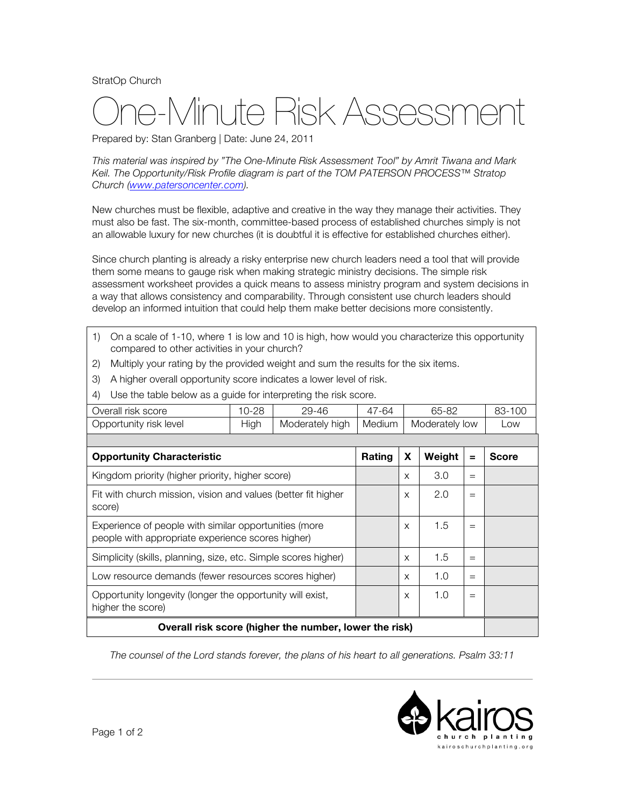StratOp Church

## e-Minute Risk Assessmer

Prepared by: Stan Granberg | Date: June 24, 2011

*This material was inspired by "The One-Minute Risk Assessment Tool" by Amrit Tiwana and Mark Keil. The Opportunity/Risk Profile diagram is part of the TOM PATERSON PROCESS™ Stratop Church (www.patersoncenter.com).*

New churches must be flexible, adaptive and creative in the way they manage their activities. They must also be fast. The six-month, committee-based process of established churches simply is not an allowable luxury for new churches (it is doubtful it is effective for established churches either).

Since church planting is already a risky enterprise new church leaders need a tool that will provide them some means to gauge risk when making strategic ministry decisions. The simple risk assessment worksheet provides a quick means to assess ministry program and system decisions in a way that allows consistency and comparability. Through consistent use church leaders should develop an informed intuition that could help them make better decisions more consistently.

- 1) On a scale of 1-10, where 1 is low and 10 is high, how would you characterize this opportunity compared to other activities in your church?
- 2) Multiply your rating by the provided weight and sum the results for the six items.
- 3) A higher overall opportunity score indicates a lower level of risk.
- 4) Use the table below as a guide for interpreting the risk score.

| Overall risk score                                                                                         | $10 - 28$ | 29-46           | 47-64         |          | 65-82          |     | 83-100       |
|------------------------------------------------------------------------------------------------------------|-----------|-----------------|---------------|----------|----------------|-----|--------------|
| Opportunity risk level                                                                                     | High      | Moderately high | <b>Medium</b> |          | Moderately low |     | Low          |
|                                                                                                            |           |                 |               |          |                |     |              |
| <b>Opportunity Characteristic</b>                                                                          |           |                 | Rating        | X        | Weight         | $=$ | <b>Score</b> |
| Kingdom priority (higher priority, higher score)                                                           |           |                 |               | X        | 3.0            | $=$ |              |
| Fit with church mission, vision and values (better fit higher<br>score)                                    |           |                 |               | X        | 2.0            | $=$ |              |
| Experience of people with similar opportunities (more<br>people with appropriate experience scores higher) |           |                 |               | $\times$ | 1.5            | $=$ |              |
| Simplicity (skills, planning, size, etc. Simple scores higher)                                             |           |                 |               | X        | 1.5            | $=$ |              |
| Low resource demands (fewer resources scores higher)                                                       |           |                 |               | X        | 1.0            | $=$ |              |
| Opportunity longevity (longer the opportunity will exist,<br>higher the score)                             |           |                 |               | X        | 1.0            | $=$ |              |
| Overall risk score (higher the number, lower the risk)                                                     |           |                 |               |          |                |     |              |

*The counsel of the Lord stands forever, the plans of his heart to all generations. Psalm 33:11*